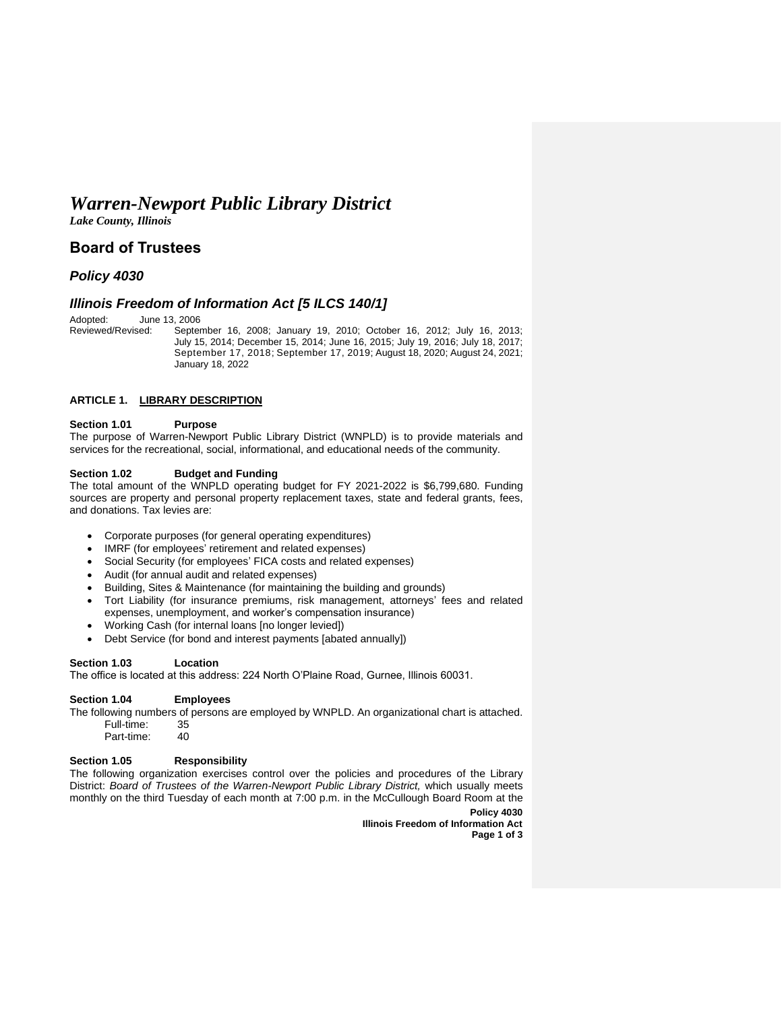# *Warren-Newport Public Library District*

*Lake County, Illinois*

## **Board of Trustees**

## *Policy 4030*

### *Illinois Freedom of Information Act [5 ILCS 140/1]*

Adopted: June 13, 2006<br>Reviewed/Revised: Septer

September 16, 2008; January 19, 2010; October 16, 2012; July 16, 2013; July 15, 2014; December 15, 2014; June 16, 2015; July 19, 2016; July 18, 2017; September 17, 2018; September 17, 2019; August 18, 2020; August 24, 2021; January 18, 2022

#### **ARTICLE 1. LIBRARY DESCRIPTION**

#### **Section 1.01 Purpose**

The purpose of Warren-Newport Public Library District (WNPLD) is to provide materials and services for the recreational, social, informational, and educational needs of the community.

#### **Section 1.02 Budget and Funding**

The total amount of the WNPLD operating budget for FY 2021-2022 is \$6,799,680. Funding sources are property and personal property replacement taxes, state and federal grants, fees, and donations. Tax levies are:

- Corporate purposes (for general operating expenditures)
- IMRF (for employees' retirement and related expenses)
- Social Security (for employees' FICA costs and related expenses)
- Audit (for annual audit and related expenses)
- Building, Sites & Maintenance (for maintaining the building and grounds)
- Tort Liability (for insurance premiums, risk management, attorneys' fees and related expenses, unemployment, and worker's compensation insurance)
- Working Cash (for internal loans [no longer levied])
- Debt Service (for bond and interest payments [abated annually])

#### **Section 1.03 Location**

The office is located at this address: 224 North O'Plaine Road, Gurnee, Illinois 60031.

#### **Section 1.04 Employees**

The following numbers of persons are employed by WNPLD. An organizational chart is attached. Full-time: 35<br>Part-time: 40 Part-time:

# **Section 1.05 Responsibility**

The following organization exercises control over the policies and procedures of the Library District: *Board of Trustees of the Warren-Newport Public Library District,* which usually meets monthly on the third Tuesday of each month at 7:00 p.m. in the McCullough Board Room at the

**Policy 4030 Illinois Freedom of Information Act Page 1 of 3**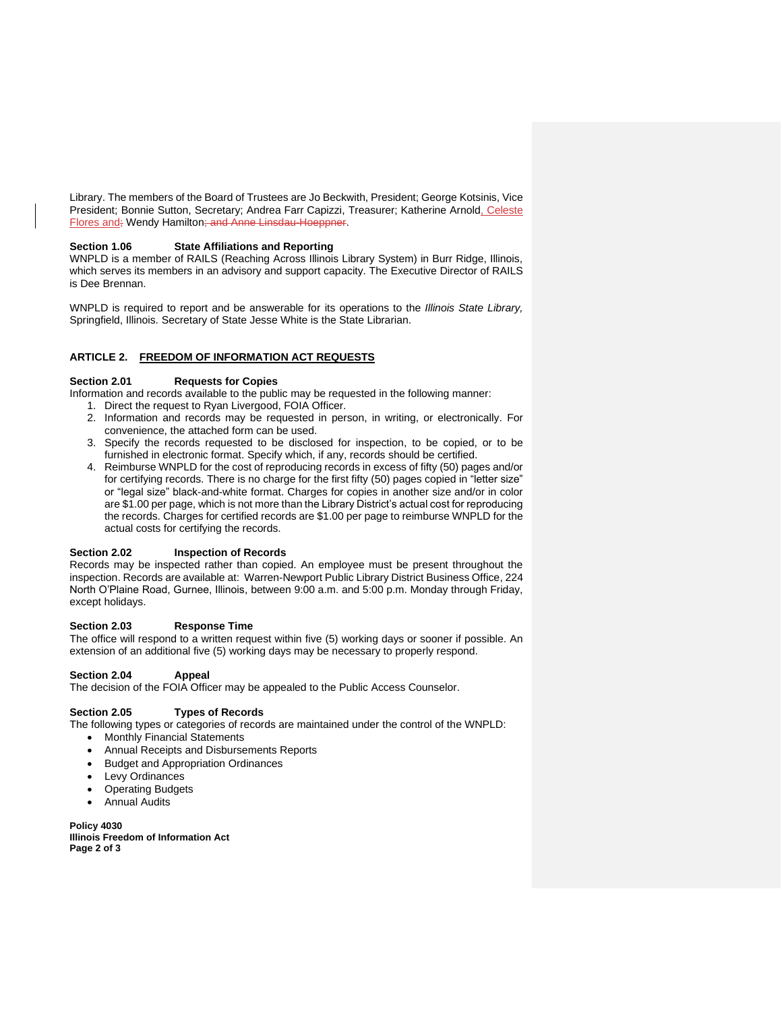Library. The members of the Board of Trustees are Jo Beckwith, President; George Kotsinis, Vice President; Bonnie Sutton, Secretary; Andrea Farr Capizzi, Treasurer; Katherine Arnold, Celeste Flores and; Wendy Hamilton; and Anne Linsdau-Hoeppner.

#### **Section 1.06 State Affiliations and Reporting**

WNPLD is a member of RAILS (Reaching Across Illinois Library System) in Burr Ridge, Illinois, which serves its members in an advisory and support capacity. The Executive Director of RAILS is Dee Brennan.

WNPLD is required to report and be answerable for its operations to the *Illinois State Library,*  Springfield, Illinois. Secretary of State Jesse White is the State Librarian.

#### **ARTICLE 2. FREEDOM OF INFORMATION ACT REQUESTS**

#### **Section 2.01 Requests for Copies**

Information and records available to the public may be requested in the following manner:

- 1. Direct the request to Ryan Livergood, FOIA Officer.
- 2. Information and records may be requested in person, in writing, or electronically. For convenience, the attached form can be used.
- 3. Specify the records requested to be disclosed for inspection, to be copied, or to be furnished in electronic format. Specify which, if any, records should be certified.
- 4. Reimburse WNPLD for the cost of reproducing records in excess of fifty (50) pages and/or for certifying records. There is no charge for the first fifty (50) pages copied in "letter size" or "legal size" black-and-white format. Charges for copies in another size and/or in color are \$1.00 per page, which is not more than the Library District's actual cost for reproducing the records. Charges for certified records are \$1.00 per page to reimburse WNPLD for the actual costs for certifying the records.

#### **Section 2.02 Inspection of Records**

Records may be inspected rather than copied. An employee must be present throughout the inspection. Records are available at: Warren-Newport Public Library District Business Office, 224 North O'Plaine Road, Gurnee, Illinois, between 9:00 a.m. and 5:00 p.m. Monday through Friday, except holidays.

#### **Section 2.03 Response Time**

The office will respond to a written request within five (5) working days or sooner if possible. An extension of an additional five (5) working days may be necessary to properly respond.

#### **Section 2.04 Appeal**

The decision of the FOIA Officer may be appealed to the Public Access Counselor.

#### **Section 2.05 Types of Records**

The following types or categories of records are maintained under the control of the WNPLD:

- Monthly Financial Statements
- Annual Receipts and Disbursements Reports
- Budget and Appropriation Ordinances
- Levy Ordinances
- Operating Budgets
- Annual Audits

**Policy 4030 Illinois Freedom of Information Act Page 2 of 3**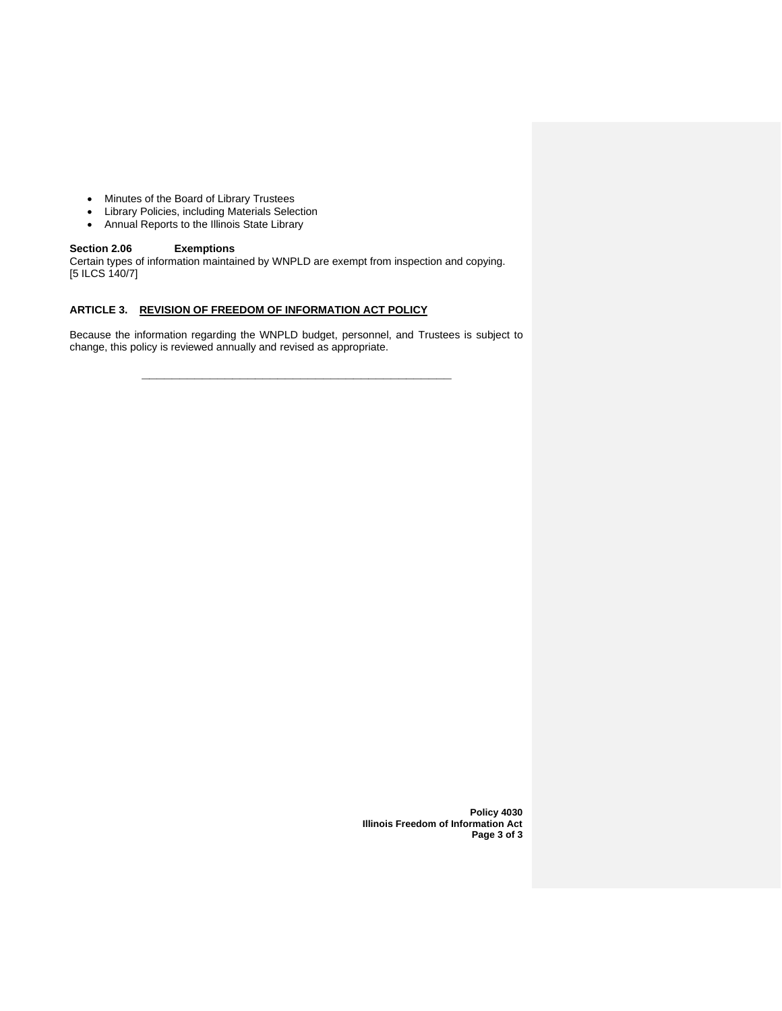- Minutes of the Board of Library Trustees
- Library Policies, including Materials Selection
- Annual Reports to the Illinois State Library

#### **Section 2.06 Exemptions**

Certain types of information maintained by WNPLD are exempt from inspection and copying. [5 ILCS 140/7]

### **ARTICLE 3. REVISION OF FREEDOM OF INFORMATION ACT POLICY**

Because the information regarding the WNPLD budget, personnel, and Trustees is subject to change, this policy is reviewed annually and revised as appropriate.

**\_\_\_\_\_\_\_\_\_\_\_\_\_\_\_\_\_\_\_\_\_\_\_\_\_\_\_\_\_\_\_\_\_\_\_\_\_\_\_\_\_**

**Policy 4030 Illinois Freedom of Information Act Page 3 of 3**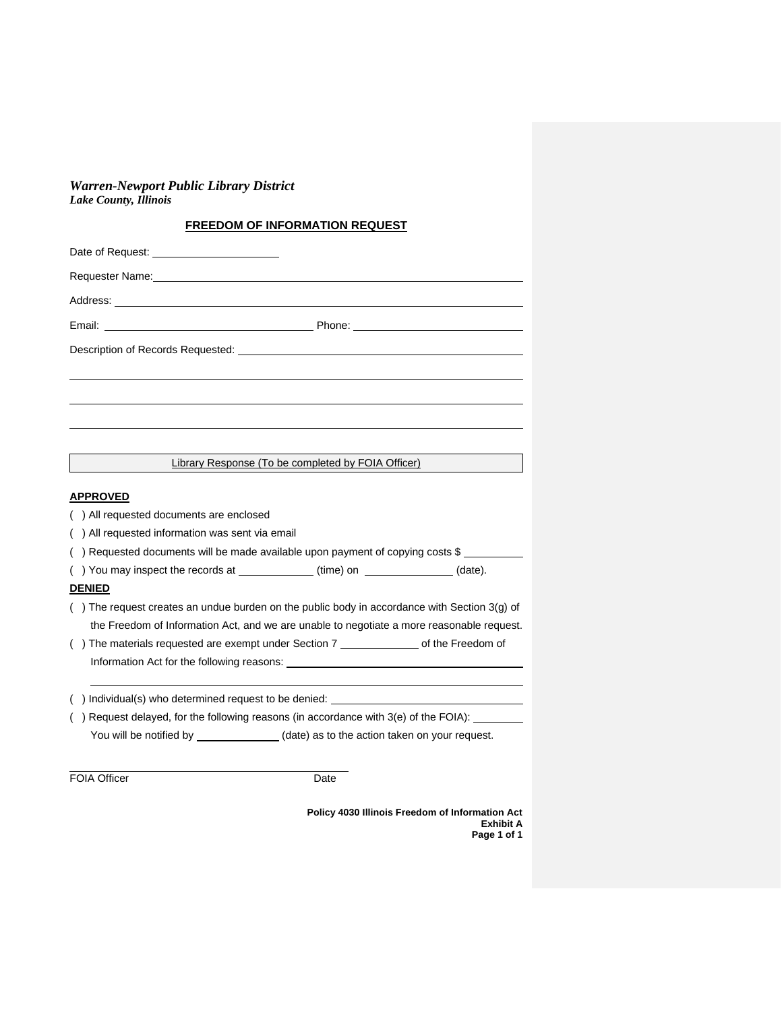*Warren-Newport Public Library District Lake County, Illinois*

# **FREEDOM OF INFORMATION REQUEST**

| <b>Library Response (To be completed by FOIA Officer)</b>                                                                                                                                                                      |
|--------------------------------------------------------------------------------------------------------------------------------------------------------------------------------------------------------------------------------|
| <b>APPROVED</b>                                                                                                                                                                                                                |
| () All requested documents are enclosed                                                                                                                                                                                        |
| () All requested information was sent via email                                                                                                                                                                                |
| () Requested documents will be made available upon payment of copying costs \$                                                                                                                                                 |
| () You may inspect the records at ____________(time) on ____________(date).                                                                                                                                                    |
| <b>DENIED</b>                                                                                                                                                                                                                  |
| () The request creates an undue burden on the public body in accordance with Section 3(g) of                                                                                                                                   |
| the Freedom of Information Act, and we are unable to negotiate a more reasonable request.                                                                                                                                      |
| () The materials requested are exempt under Section 7 _________________ of the Freedom of                                                                                                                                      |
| Information Act for the following reasons: Notified the state of the state of the state of the state of the state of the state of the state of the state of the state of the state of the state of the state of the state of t |
| () Individual(s) who determined request to be denied:                                                                                                                                                                          |
| () Request delayed, for the following reasons (in accordance with 3(e) of the FOIA):                                                                                                                                           |
| You will be notified by _______________(date) as to the action taken on your request.                                                                                                                                          |
|                                                                                                                                                                                                                                |

FOIA Officer Date

**Policy 4030 Illinois Freedom of Information Act Exhibit A Page 1 of 1**